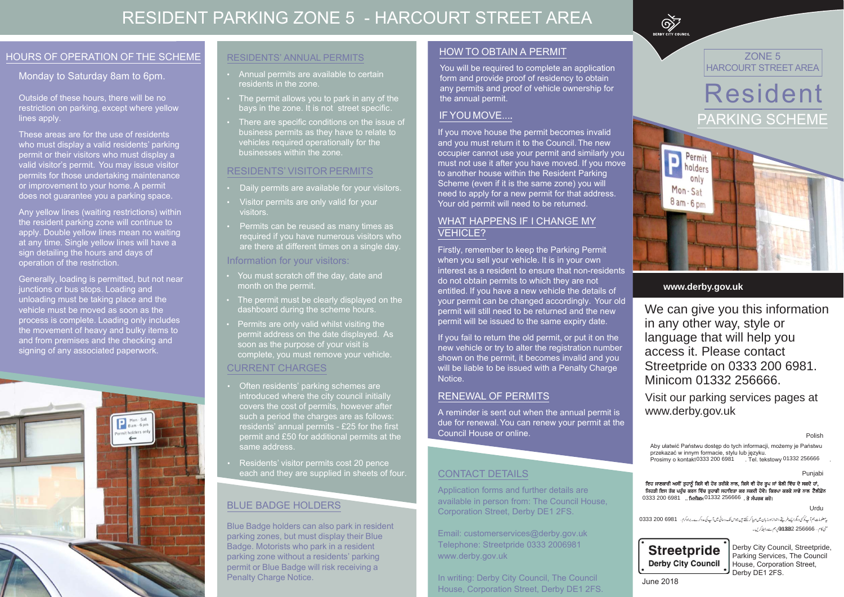## RESIDENT PARKING ZONE 5 - HARCOURT STREET AREA

### HOURS OF OPERATION OF THE SCHEME

#### Monday to Saturday 8am to 6pm.

Outside of these hours, there will be no restriction on parking, except where yellow lines apply.

These areas are for the use of residents who must display a valid residents' parking permit or their visitors who must display a valid visitor's permit. You may issue visitor permits for those undertaking maintenance or improvement to your home. A permit does not guarantee you a parking space.

Any yellow lines (waiting restrictions) within the resident parking zone will continue to apply. Double yellow lines mean no waiting at any time. Single yellow lines will have a sign detailing the hours and days of operation of the restriction.

Generally, loading is permitted, but not near junctions or bus stops. Loading and unloading must be taking place and the vehicle must be moved as soon as the process is complete. Loading only includes the movement of heavy and bulky items to and from premises and the checking and signing of any associated paperwork.



#### **RESIDENTS' ANNUAL PERMITS**

- Annual permits are available to certain residents in the zone.
- The permit allows you to park in any of the bays in the zone. It is not street specific.
- There are specific conditions on the issue of business permits as they have to relate to vehicles required operationally for the businesses within the zone.

#### **RESIDENTS' VISITOR PERMITS**

- Daily permits are available for your visitors.
- Visitor permits are only valid for your visitors.
- Permits can be reused as many times as required if you have numerous visitors who are there at different times on a single day.

#### Information for your visitors:

- You must scratch off the day, date and month on the permit.
- The permit must be clearly displayed on the dashboard during the scheme hours.
- Permits are only valid whilst visiting the permit address on the date displayed. As soon as the purpose of your visit is complete, you must remove your vehicle.

### **CURRENT CHARGES**

- Often residents' parking schemes are introduced where the city council initially covers the cost of permits, however after such a period the charges are as follows: residents' annual permits - £25 for the first permit and £50 for additional permits at the same address.
- Residents' visitor permits cost 20 pence each and they are supplied in sheets of four.

#### **BLUE BADGE HOLDERS**

Blue Badge holders can also park in resident parking zones, but must display their Blue Badge. Motorists who park in a resident parking zone without a residents' parking permit or Blue Badge will risk receiving a **Penalty Charge Notice.** 

#### **HOW TO OBTAIN A PERMIT**

You will be required to complete an application form and provide proof of residency to obtain any permits and proof of vehicle ownership for the annual permit.

### IF YOU MOVE....

If you move house the permit becomes invalid and you must return it to the Council. The new occupier cannot use your permit and similarly you must not use it after you have moved. If you move to another house within the Resident Parking Scheme (even if it is the same zone) you will need to apply for a new permit for that address. Your old permit will need to be returned.

#### **WHAT HAPPENS IF I CHANGE MY VEHICLE?**

Firstly, remember to keep the Parking Permit when you sell your vehicle. It is in your own interest as a resident to ensure that non-residents do not obtain permits to which they are not entitled. If you have a new vehicle the details of your permit can be changed accordingly. Your old permit will still need to be returned and the new permit will be issued to the same expiry date.

If you fail to return the old permit, or put it on the new vehicle or try to alter the registration number shown on the permit, it becomes invalid and you will be liable to be issued with a Penalty Charge Notice.

#### **RENEWAL OF PERMITS**

A reminder is sent out when the annual permit is due for renewal. You can renew your permit at the Council House or online.

#### **CONTACT DETAILS**

Application forms and further details are available in person from: The Council House. Corporation Street, Derby DE1 2FS.

Email: customerservices@derby.gov.uk Telephone: Streetpride 0333 2006981 www.derby.gov.uk

In writing: Derby City Council, The Council House, Corporation Street, Derby DE1 2FS.



ZONE<sub>5</sub> **HARCOURT STREET AREA** 





#### www.derby.gov.uk

We can give you this information in any other way, style or language that will help you access it. Please contact Streetpride on 0333 200 6981. Minicom 01332 256666.

Visit our parking services pages at www.derby.gov.uk

Polish

Aby ułatwić Państwu dostęp do tych informacji, możemy je Państwu . Tel. tekstowy 01332 256666

Punjabi

ਇਹ ਜਾਣਕਾਰੀ ਅਸੀਂ ਤੁਹਾਨੂੰ ਕਿਸੇ ਵੀ ਹੋਰ ਤਰੀਕੇ ਨਾਲ, ਕਿਸੇ ਵੀ ਹੋਰ ਰੂਪ ਜਾਂ ਬੋਲੀ ਵਿੱਚ ਦੇ ਸਕਦੇ ਹਾਂ, ਜਿਹੜੀ ਇਸ ਤੱਕ ਪਹੁੰਚ ਕਰਨ ਵਿੱਚ ਤੁਹਾਡੀ ਸਹਾਇਤਾ ਕਰ ਸਕਦੀ ਹੋਵੇ। ਕਿਰਪਾ ਕਰਕੇ ਸਾਡੇ ਨਾਲ ਟੈਲੀਫ਼ੋਨ 0333 200 6981 .. ਮਿਨੀਕਮ 01332 256666 . ਤੇ ਸੰਪਰਕ ਕਰੋ।

Urdu

یڈ معلومات ہم آپ کو کی دیگرا پسے طریقے،اندازادرزبان میں مہیا کر سکتے ہیں جواس تک رسائی میں آپ کی مددکرے۔براہ کر سے 5981 0333 003 333 منى كام .... 256666- 332، 01332 مى بىم سے رابط كريں۔



Derby City Council, Streetpride, Parking Services, The Council House, Corporation Street, Derby DE1 2FS.

**June 2018**